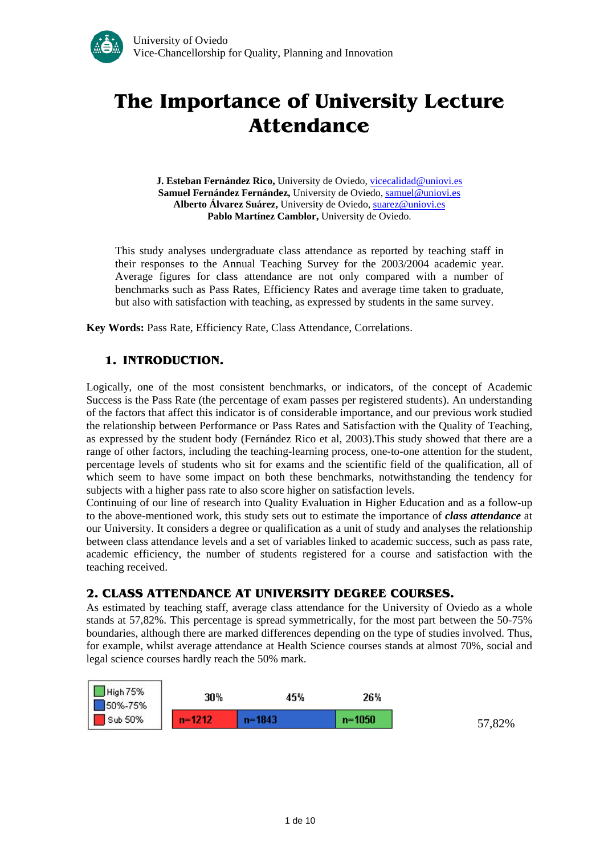# **The Importance of University Lecture Attendance**

**J. Esteban Fernández Rico,** University de Oviedo, [vicecalidad@uniovi.es](mailto:vicecalidad@uniovi.es) Samuel Fernández Fernández, University de Oviedo, [samuel@uniovi.es](mailto:samuel@uniovi.es) **Alberto Álvarez Suárez,** University de Oviedo, [suarez@uniovi.es](mailto:suarez@uniovi.es) Pablo Martínez Camblor, University de Oviedo.

This study analyses undergraduate class attendance as reported by teaching staff in their responses to the Annual Teaching Survey for the 2003/2004 academic year. Average figures for class attendance are not only compared with a number of benchmarks such as Pass Rates, Efficiency Rates and average time taken to graduate, but also with satisfaction with teaching, as expressed by students in the same survey.

**Key Words:** Pass Rate, Efficiency Rate, Class Attendance, Correlations.

# **1. INTRODUCTION.**

Logically, one of the most consistent benchmarks, or indicators, of the concept of Academic Success is the Pass Rate (the percentage of exam passes per registered students). An understanding of the factors that affect this indicator is of considerable importance, and our previous work studied the relationship between Performance or Pass Rates and Satisfaction with the Quality of Teaching, as expressed by the student body (Fernández Rico et al, 2003).This study showed that there are a range of other factors, including the teaching-learning process, one-to-one attention for the student, percentage levels of students who sit for exams and the scientific field of the qualification, all of which seem to have some impact on both these benchmarks, notwithstanding the tendency for subjects with a higher pass rate to also score higher on satisfaction levels.

Continuing of our line of research into Quality Evaluation in Higher Education and as a follow-up to the above-mentioned work, this study sets out to estimate the importance of *class attendance* at our University. It considers a degree or qualification as a unit of study and analyses the relationship between class attendance levels and a set of variables linked to academic success, such as pass rate, academic efficiency, the number of students registered for a course and satisfaction with the teaching received.

# **2. CLASS ATTENDANCE AT UNIVERSITY DEGREE COURSES.**

As estimated by teaching staff, average class attendance for the University of Oviedo as a whole stands at 57,82%. This percentage is spread symmetrically, for the most part between the 50-75% boundaries, although there are marked differences depending on the type of studies involved. Thus, for example, whilst average attendance at Health Science courses stands at almost 70%, social and legal science courses hardly reach the 50% mark.

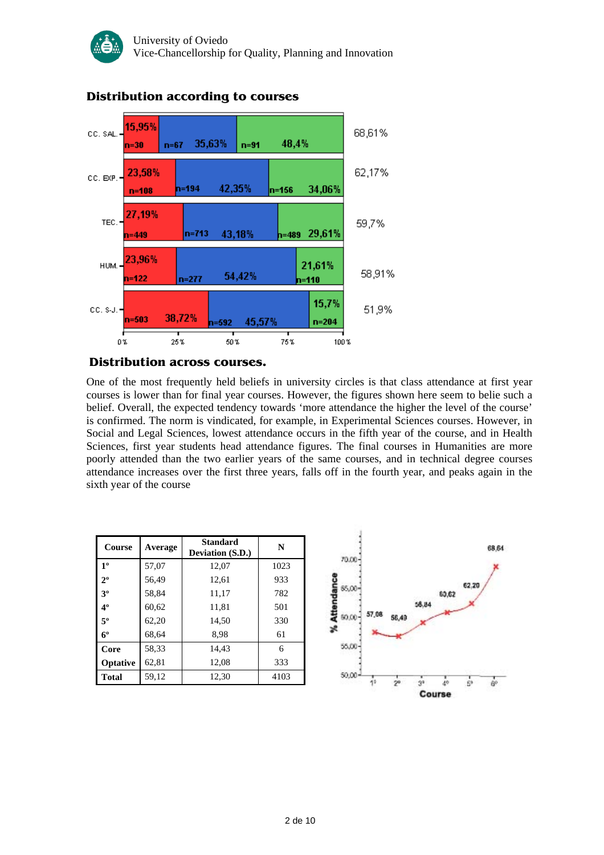

# **Distribution according to courses**

## **Distribution across courses.**

One of the most frequently held beliefs in university circles is that class attendance at first year courses is lower than for final year courses. However, the figures shown here seem to belie such a belief. Overall, the expected tendency towards 'more attendance the higher the level of the course' is confirmed. The norm is vindicated, for example, in Experimental Sciences courses. However, in Social and Legal Sciences, lowest attendance occurs in the fifth year of the course, and in Health Sciences, first year students head attendance figures. The final courses in Humanities are more poorly attended than the two earlier years of the same courses, and in technical degree courses attendance increases over the first three years, falls off in the fourth year, and peaks again in the sixth year of the course

| Course         | Average | <b>Standard</b><br>Deviation (S.D.) | N    |
|----------------|---------|-------------------------------------|------|
| 1 <sup>0</sup> | 57,07   | 12,07                               | 1023 |
| $2^{\circ}$    | 56,49   | 12,61                               | 933  |
| 3 <sup>0</sup> | 58,84   | 11,17                               | 782  |
| $4^{\circ}$    | 60,62   | 11,81                               | 501  |
| $5^{\circ}$    | 62,20   | 14,50                               | 330  |
| $6^{\circ}$    | 68,64   | 8.98                                | 61   |
| Core           | 58,33   | 14.43                               | 6    |
| Optative       | 62,81   | 12,08                               | 333  |
| <b>Total</b>   | 59,12   | 12,30                               | 4103 |

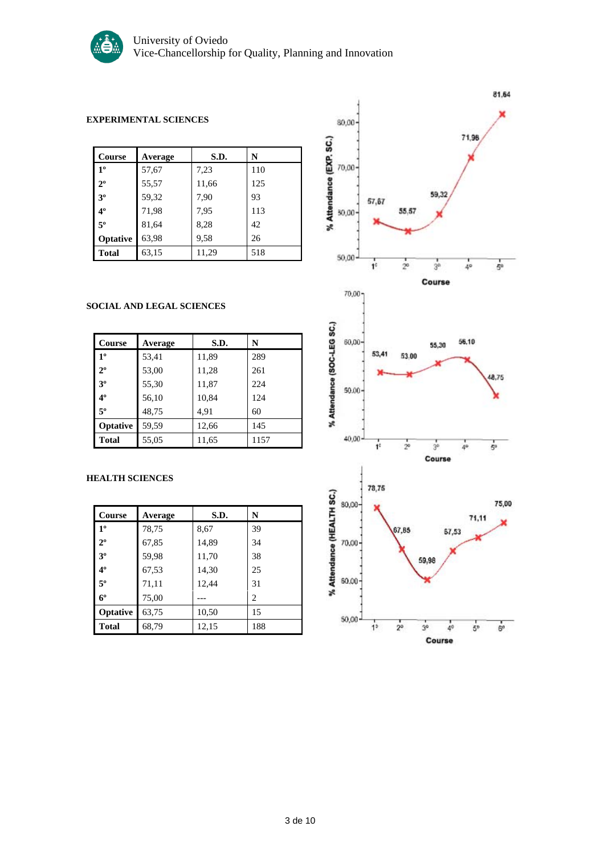

#### **EXPERIMENTAL SCIENCES**

| Course         | Average | S.D.  | N   |
|----------------|---------|-------|-----|
| 1 <sup>0</sup> | 57,67   | 7,23  | 110 |
| $2^{\circ}$    | 55,57   | 11,66 | 125 |
| 3 <sup>0</sup> | 59,32   | 7,90  | 93  |
| $4^{\circ}$    | 71,98   | 7,95  | 113 |
| 5°             | 81,64   | 8,28  | 42  |
| Optative       | 63,98   | 9.58  | 26  |
| <b>Total</b>   | 63,15   | 11,29 | 518 |

#### **SOCIAL AND LEGAL SCIENCES**

| <b>Course</b>   | Average | S.D.  | N    |
|-----------------|---------|-------|------|
| 1 <sup>0</sup>  | 53,41   | 11,89 | 289  |
| $2^{\circ}$     | 53,00   | 11,28 | 261  |
| 3 <sup>0</sup>  | 55,30   | 11,87 | 224  |
| $4^{\circ}$     | 56,10   | 10,84 | 124  |
| $5^{\circ}$     | 48,75   | 4,91  | 60   |
| <b>Optative</b> | 59,59   | 12,66 | 145  |
| Total           | 55,05   | 11,65 | 1157 |

#### **HEALTH SCIENCES**

| <b>Course</b>  | Average | S.D.  | N                             |
|----------------|---------|-------|-------------------------------|
| 1 <sup>0</sup> | 78,75   | 8,67  | 39                            |
| $2^{\circ}$    | 67,85   | 14,89 | 34                            |
| 3 <sup>o</sup> | 59,98   | 11,70 | 38                            |
| 4 <sup>0</sup> | 67,53   | 14,30 | 25                            |
| $5^{\circ}$    | 71,11   | 12,44 | 31                            |
| $6^{\circ}$    | 75,00   |       | $\mathfrak{D}_{\mathfrak{p}}$ |
| Optative       | 63,75   | 10,50 | 15                            |
| <b>Total</b>   | 68,79   | 12,15 | 188                           |

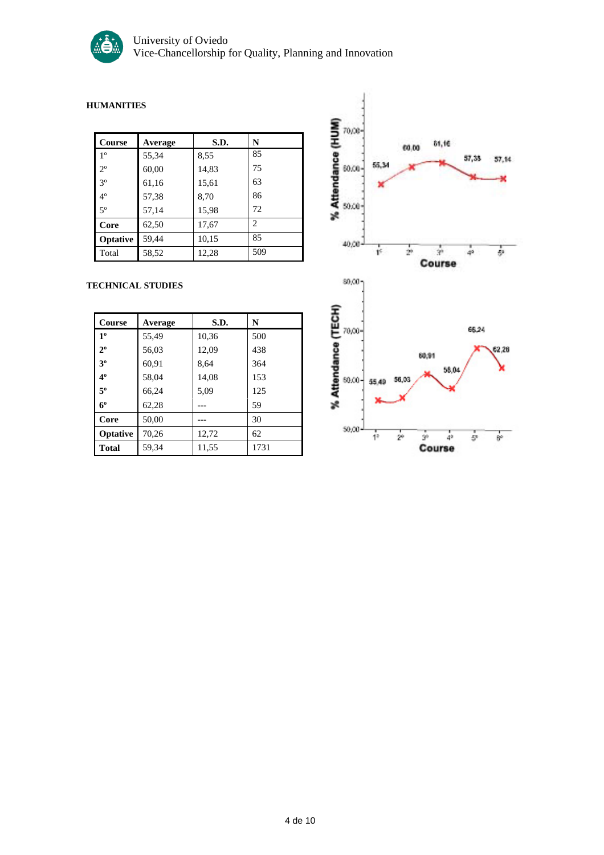

#### **HUMANITIES**

| Course         | Average | S.D.  | N   |
|----------------|---------|-------|-----|
| 1 <sup>o</sup> | 55,34   | 8,55  | 85  |
| $2^{\circ}$    | 60,00   | 14,83 | 75  |
| 3 <sup>o</sup> | 61,16   | 15,61 | 63  |
| $4^{\circ}$    | 57,38   | 8,70  | 86  |
| $5^{\circ}$    | 57,14   | 15,98 | 72  |
| Core           | 62,50   | 17,67 | 2   |
| Optative       | 59,44   | 10,15 | 85  |
| Total          | 58,52   | 12,28 | 509 |

#### **TECHNICAL STUDIES**

| Course         | Average | S.D.  | N    |
|----------------|---------|-------|------|
| 1 <sup>0</sup> | 55,49   | 10,36 | 500  |
| $2^{\circ}$    | 56,03   | 12,09 | 438  |
| 30             | 60,91   | 8,64  | 364  |
| $4^{\circ}$    | 58,04   | 14,08 | 153  |
| $5^{\circ}$    | 66,24   | 5,09  | 125  |
| $6^{\circ}$    | 62,28   |       | 59   |
| Core           | 50,00   |       | 30   |
| Optative       | 70,26   | 12,72 | 62   |
| <b>Total</b>   | 59,34   | 11,55 | 1731 |

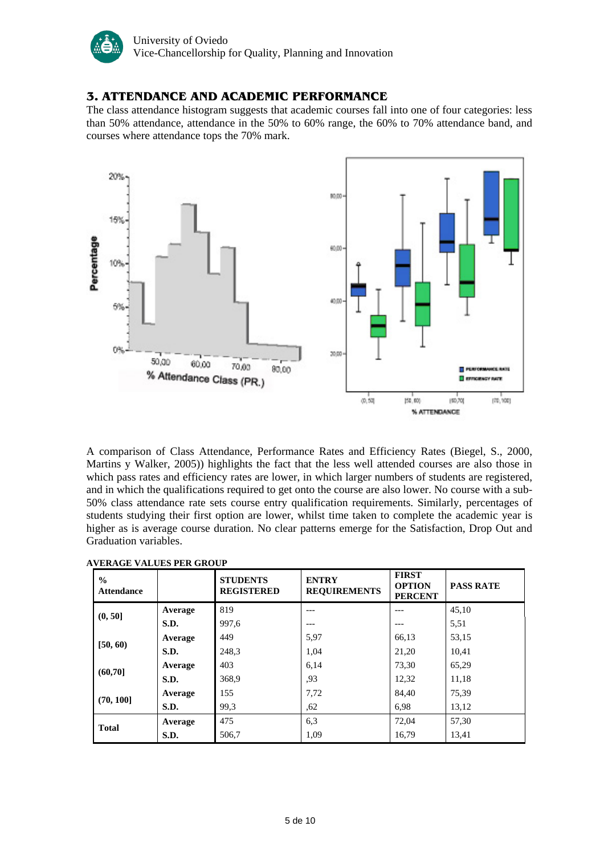

## **3. ATTENDANCE AND ACADEMIC PERFORMANCE**

The class attendance histogram suggests that academic courses fall into one of four categories: less than 50% attendance, attendance in the 50% to 60% range, the 60% to 70% attendance band, and courses where attendance tops the 70% mark.



A comparison of Class Attendance, Performance Rates and Efficiency Rates (Biegel, S., 2000, Martins y Walker, 2005)) highlights the fact that the less well attended courses are also those in which pass rates and efficiency rates are lower, in which larger numbers of students are registered, and in which the qualifications required to get onto the course are also lower. No course with a sub-50% class attendance rate sets course entry qualification requirements. Similarly, percentages of students studying their first option are lower, whilst time taken to complete the academic year is higher as is average course duration. No clear patterns emerge for the Satisfaction, Drop Out and Graduation variables.

| $\frac{0}{0}$<br><b>Attendance</b> |         | <b>STUDENTS</b><br><b>REGISTERED</b> | <b>ENTRY</b><br><b>REQUIREMENTS</b> | <b>FIRST</b><br><b>OPTION</b><br><b>PERCENT</b> | <b>PASS RATE</b> |
|------------------------------------|---------|--------------------------------------|-------------------------------------|-------------------------------------------------|------------------|
| (0, 50]                            | Average | 819                                  | ---                                 | $---$                                           | 45,10            |
|                                    | S.D.    | 997,6                                | ---                                 | $- - -$                                         | 5,51             |
|                                    | Average | 449                                  | 5,97                                | 66,13                                           | 53,15            |
| [50, 60)                           | S.D.    | 248,3                                | 1,04                                | 21,20                                           | 10,41            |
| (60, 70]                           | Average | 403                                  | 6,14                                | 73.30                                           | 65,29            |
|                                    | S.D.    | 368,9                                | .93                                 | 12,32                                           | 11,18            |
|                                    | Average | 155                                  | 7,72                                | 84,40                                           | 75,39            |
| (70, 100]                          | S.D.    | 99.3                                 | .62                                 | 6.98                                            | 13,12            |
| <b>Total</b>                       | Average | 475                                  | 6.3                                 | 72,04                                           | 57,30            |
|                                    | S.D.    | 506,7                                | 1,09                                | 16,79                                           | 13,41            |

#### **AVERAGE VALUES PER GROUP**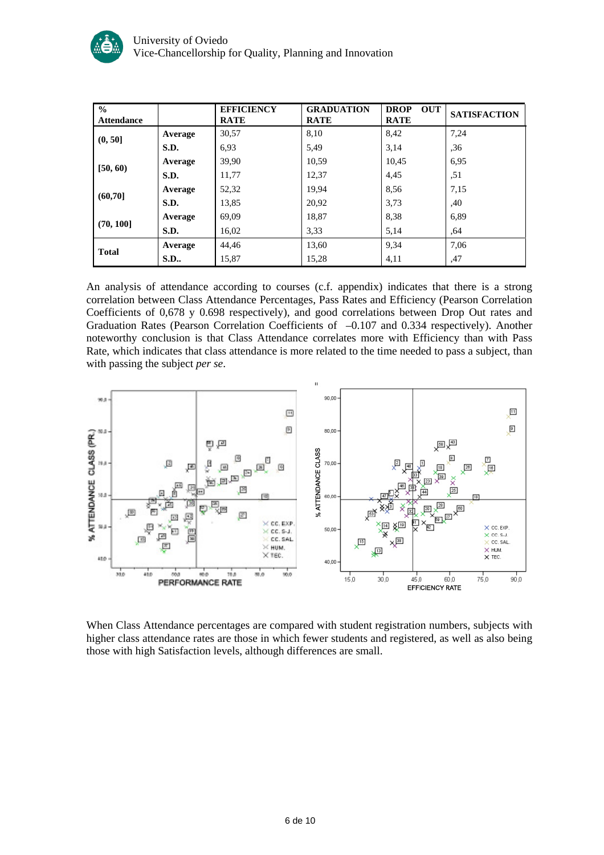

| $\frac{0}{0}$<br><b>Attendance</b> |            | <b>EFFICIENCY</b><br><b>RATE</b> | <b>GRADUATION</b><br><b>RATE</b> | <b>DROP</b><br><b>OUT</b><br><b>RATE</b> | <b>SATISFACTION</b> |
|------------------------------------|------------|----------------------------------|----------------------------------|------------------------------------------|---------------------|
| (0, 50]                            | Average    | 30,57                            | 8,10                             | 8,42                                     | 7,24                |
|                                    | S.D.       | 6.93                             | 5,49                             | 3,14                                     | ,36                 |
|                                    | Average    | 39.90                            | 10.59                            | 10,45                                    | 6,95                |
| [50, 60]                           | S.D.       | 11,77                            | 12,37                            | 4,45                                     | ,51                 |
|                                    | Average    | 52,32                            | 19,94                            | 8,56                                     | 7,15                |
| (60, 70]                           | S.D.       | 13,85                            | 20,92                            | 3,73                                     | ,40                 |
| (70, 100]                          | Average    | 69,09                            | 18,87                            | 8,38                                     | 6,89                |
|                                    | S.D.       | 16,02                            | 3,33                             | 5,14                                     | ,64                 |
| <b>Total</b>                       | Average    | 44,46                            | 13,60                            | 9,34                                     | 7,06                |
|                                    | <b>S.D</b> | 15,87                            | 15,28                            | 4,11                                     | ,47                 |

An analysis of attendance according to courses (c.f. appendix) indicates that there is a strong correlation between Class Attendance Percentages, Pass Rates and Efficiency (Pearson Correlation Coefficients of 0,678 y 0.698 respectively), and good correlations between Drop Out rates and Graduation Rates (Pearson Correlation Coefficients of -0.107 and 0.334 respectively). Another noteworthy conclusion is that Class Attendance correlates more with Efficiency than with Pass Rate, which indicates that class attendance is more related to the time needed to pass a subject, than with passing the subject *per se*.



When Class Attendance percentages are compared with student registration numbers, subjects with higher class attendance rates are those in which fewer students and registered, as well as also being those with high Satisfaction levels, although differences are small.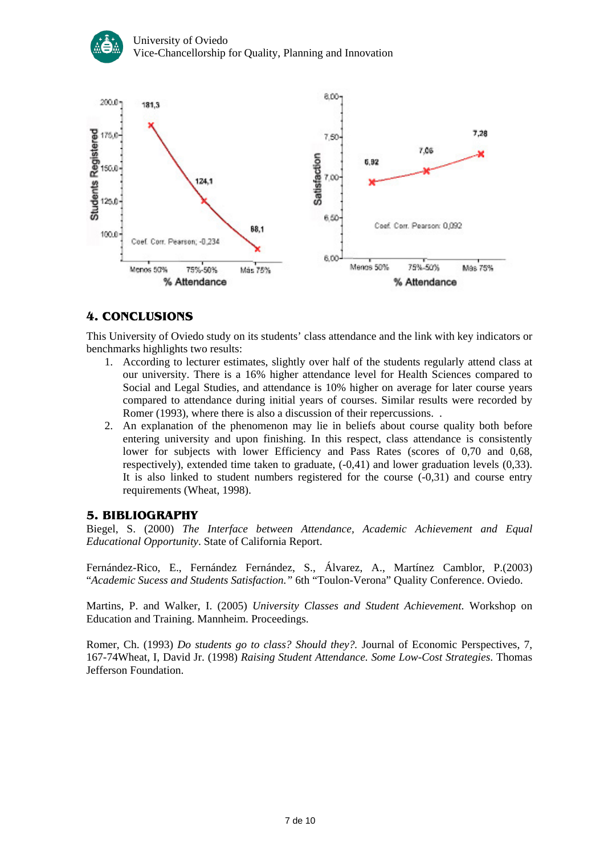



# **4. CONCLUSIONS**

This University of Oviedo study on its students' class attendance and the link with key indicators or benchmarks highlights two results:

- 1. According to lecturer estimates, slightly over half of the students regularly attend class at our university. There is a 16% higher attendance level for Health Sciences compared to Social and Legal Studies, and attendance is 10% higher on average for later course years compared to attendance during initial years of courses. Similar results were recorded by Romer (1993), where there is also a discussion of their repercussions. .
- 2. An explanation of the phenomenon may lie in beliefs about course quality both before entering university and upon finishing. In this respect, class attendance is consistently lower for subjects with lower Efficiency and Pass Rates (scores of 0,70 and 0,68, respectively), extended time taken to graduate, (-0,41) and lower graduation levels (0,33). It is also linked to student numbers registered for the course (-0,31) and course entry requirements (Wheat, 1998).

## **5. BIBLIOGRAPHY**

Biegel, S. (2000) *The Interface between Attendance, Academic Achievement and Equal Educational Opportunity*. State of California Report.

Fernández-Rico, E., Fernández Fernández, S., Álvarez, A., Martínez Camblor, P.(2003) "*Academic Sucess and Students Satisfaction."* 6th "Toulon-Verona" Quality Conference. Oviedo.

Martins, P. and Walker, I. (2005) *University Classes and Student Achievement*. Workshop on Education and Training. Mannheim. Proceedings.

Romer, Ch. (1993) *Do students go to class? Should they?.* Journal of Economic Perspectives, 7, 167-74Wheat, I, David Jr. (1998) *Raising Student Attendance. Some Low-Cost Strategies*. Thomas Jefferson Foundation.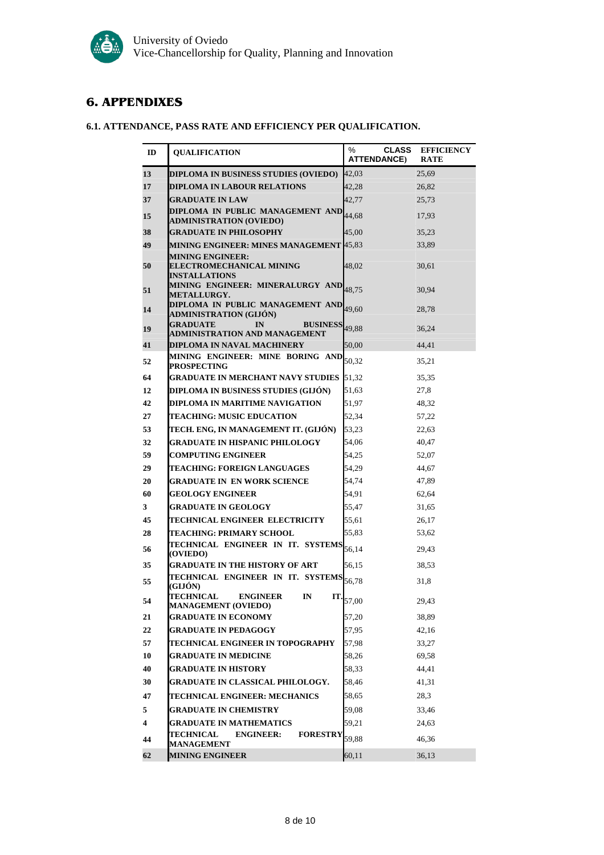# **6. APPENDIXES**

## **6.1. ATTENDANCE, PASS RATE AND EFFICIENCY PER QUALIFICATION.**

| ID | <b>OUALIFICATION</b>                                                                       | %<br><b>CLASS</b><br><b>ATTENDANCE)</b> | <b>EFFICIENCY</b><br><b>RATE</b> |
|----|--------------------------------------------------------------------------------------------|-----------------------------------------|----------------------------------|
| 13 | DIPLOMA IN BUSINESS STUDIES (OVIEDO)                                                       | 42,03                                   | 25,69                            |
| 17 | <b>DIPLOMA IN LABOUR RELATIONS</b>                                                         | 42,28                                   | 26,82                            |
| 37 | <b>GRADUATE IN LAW</b>                                                                     | 42,77                                   | 25,73                            |
| 15 | DIPLOMA IN PUBLIC MANAGEMENT AND 44,68<br><b>ADMINISTRATION (OVIEDO)</b>                   |                                         | 17,93                            |
| 38 | <b>GRADUATE IN PHILOSOPHY</b>                                                              | 45,00                                   | 35,23                            |
| 49 | <b>MINING ENGINEER: MINES MANAGEMENT 45,83</b>                                             |                                         | 33,89                            |
| 50 | <b>MINING ENGINEER:</b><br><b>ELECTROMECHANICAL MINING</b><br><b>INSTALLATIONS</b>         | 48.02                                   | 30,61                            |
| 51 | MINING ENGINEER: MINERALURGY AND 18,75<br><b>METALLURGY.</b>                               |                                         | 30.94                            |
| 14 | DIPLOMA IN PUBLIC MANAGEMENT AND 19,60<br><b>ADMINISTRATION (GIJÓN)</b>                    |                                         | 28,78                            |
| 19 | <b>GRADUATE</b><br>IN<br><b>BUSINESS</b> <sub>49,88</sub><br>ADMINISTRATION AND MANAGEMENT |                                         | 36,24                            |
| 41 | DIPLOMA IN NAVAL MACHINERY                                                                 | 50,00                                   | 44,41                            |
| 52 | MINING ENGINEER: MINE BORING AND<br><b>PROSPECTING</b>                                     | 50,32                                   | 35,21                            |
| 64 | <b>GRADUATE IN MERCHANT NAVY STUDIES</b>                                                   | 51,32                                   | 35,35                            |
| 12 | DIPLOMA IN BUSINESS STUDIES (GLJÓN)                                                        | 51,63                                   | 27,8                             |
| 42 | DIPLOMA IN MARITIME NAVIGATION                                                             | 51,97                                   | 48,32                            |
| 27 | <b>TEACHING: MUSIC EDUCATION</b>                                                           | 52,34                                   | 57,22                            |
| 53 | TECH. ENG, IN MANAGEMENT IT. (GIJÓN)                                                       | 53,23                                   | 22,63                            |
| 32 | <b>GRADUATE IN HISPANIC PHILOLOGY</b>                                                      | 54,06                                   | 40,47                            |
| 59 | <b>COMPUTING ENGINEER</b>                                                                  | 54,25                                   | 52,07                            |
| 29 | TEACHING: FOREIGN LANGUAGES                                                                | 54,29                                   | 44,67                            |
| 20 | GRADUATE IN EN WORK SCIENCE                                                                | 54,74                                   | 47,89                            |
| 60 | <b>GEOLOGY ENGINEER</b>                                                                    | 54,91                                   | 62,64                            |
| 3  | <b>GRADUATE IN GEOLOGY</b>                                                                 | 55,47                                   | 31,65                            |
| 45 | TECHNICAL ENGINEER ELECTRICITY                                                             | 55,61                                   | 26,17                            |
| 28 | TEACHING: PRIMARY SCHOOL                                                                   | 55,83                                   | 53,62                            |
| 56 | TECHNICAL ENGINEER IN IT. SYSTEMS 56,14<br>(OVIEDO)                                        |                                         | 29,43                            |
| 35 | <b>GRADUATE IN THE HISTORY OF ART</b>                                                      | 56,15                                   | 38,53                            |
| 55 | TECHNICAL ENGINEER IN IT. SYSTEMS<br>(GIJÓN)<br>TECHNICAL.<br>IT.<br><b>ENGINEER</b>       | 56,78                                   | 31,8                             |
| 54 | IN<br><b>MANAGEMENT (OVIEDO)</b>                                                           | 57,00                                   | 29,43                            |
| 21 | <b>GRADUATE IN ECONOMY</b>                                                                 | 57,20                                   | 38,89                            |
| 22 | GRADUATE IN PEDAGOGY                                                                       | 57,95                                   | 42,16                            |
| 57 | TECHNICAL ENGINEER IN TOPOGRAPHY                                                           | 57,98                                   | 33,27                            |
| 10 | <b>GRADUATE IN MEDICINE</b>                                                                | 58,26                                   | 69,58                            |
| 40 | <b>GRADUATE IN HISTORY</b>                                                                 | 58,33                                   | 44,41                            |
| 30 | <b>GRADUATE IN CLASSICAL PHILOLOGY.</b>                                                    | 58,46                                   | 41,31                            |
| 47 | <b>TECHNICAL ENGINEER: MECHANICS</b>                                                       | 58,65                                   | 28,3                             |
| 5  | <b>GRADUATE IN CHEMISTRY</b>                                                               | 59,08                                   | 33,46                            |
| 4  | <b>GRADUATE IN MATHEMATICS</b>                                                             | 59,21                                   | 24,63                            |
| 44 | <b>TECHNICAL</b><br><b>ENGINEER:</b><br><b>FORESTRY</b><br><b>MANAGEMENT</b>               | 59,88                                   | 46,36                            |
| 62 | <b>MINING ENGINEER</b>                                                                     | 60,11                                   | 36,13                            |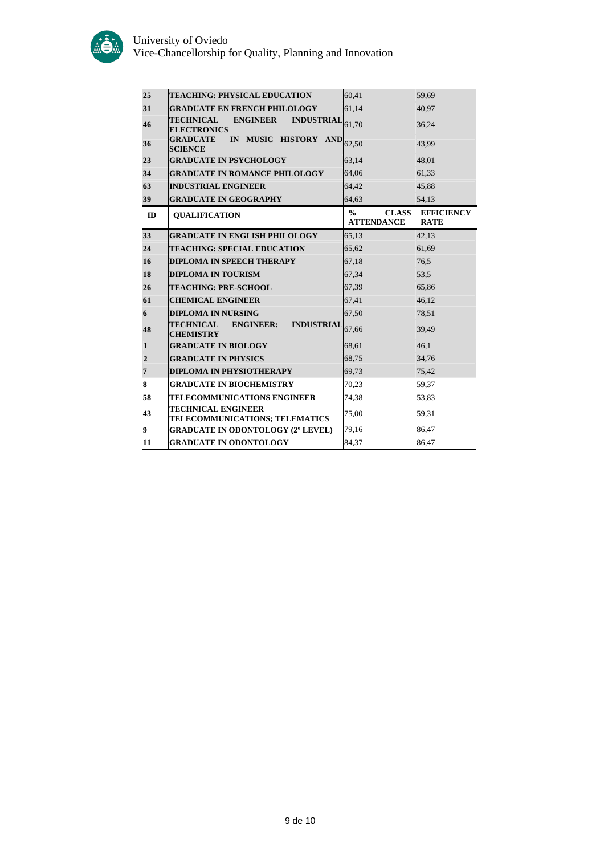

| 25             | <b>TEACHING: PHYSICAL EDUCATION</b>                                                | 60,41                                              | 59,69                            |
|----------------|------------------------------------------------------------------------------------|----------------------------------------------------|----------------------------------|
| 31             | <b>GRADUATE EN FRENCH PHILOLOGY</b>                                                | 61.14                                              | 40.97                            |
| 46             | <b>TECHNICAL</b><br><b>ENGINEER</b><br>INDUSTRIAL $_{61,70}$<br><b>ELECTRONICS</b> |                                                    | 36,24                            |
| 36             | <b>GRADUATE</b><br>IN MUSIC HISTORY<br><b>SCIENCE</b>                              | $AND$ <sub>62,50</sub>                             | 43,99                            |
| 23             | <b>GRADUATE IN PSYCHOLOGY</b>                                                      | 63,14                                              | 48,01                            |
| 34             | <b>GRADUATE IN ROMANCE PHILOLOGY</b>                                               | 64,06                                              | 61,33                            |
| 63             | <b>INDUSTRIAL ENGINEER</b>                                                         | 64.42                                              | 45,88                            |
| 39             | <b>GRADUATE IN GEOGRAPHY</b>                                                       | 64,63                                              | 54,13                            |
| ID             | <b>QUALIFICATION</b>                                                               | $\frac{0}{0}$<br><b>CLASS</b><br><b>ATTENDANCE</b> | <b>EFFICIENCY</b><br><b>RATE</b> |
| 33             | <b>GRADUATE IN ENGLISH PHILOLOGY</b>                                               | 65.13                                              | 42,13                            |
| 24             | <b>TEACHING: SPECIAL EDUCATION</b>                                                 | 65,62                                              | 61,69                            |
| 16             | <b>DIPLOMA IN SPEECH THERAPY</b>                                                   | 67,18                                              | 76,5                             |
| 18             | <b>DIPLOMA IN TOURISM</b>                                                          | 67,34                                              | 53,5                             |
| 26             | <b>TEACHING: PRE-SCHOOL</b>                                                        | 67,39                                              | 65,86                            |
| 61             | <b>CHEMICAL ENGINEER</b>                                                           | 67,41                                              | 46,12                            |
| 6              | <b>DIPLOMA IN NURSING</b>                                                          | 67,50                                              | 78,51                            |
| 48             | <b>TECHNICAL</b><br><b>ENGINEER:</b><br><b>INDUSTRIAI</b><br><b>CHEMISTRY</b>      | 67,66                                              | 39.49                            |
| $\mathbf{1}$   | <b>GRADUATE IN BIOLOGY</b>                                                         | 68,61                                              | 46,1                             |
| $\overline{2}$ | <b>GRADUATE IN PHYSICS</b>                                                         | 68,75                                              | 34,76                            |
| 7              | <b>DIPLOMA IN PHYSIOTHERAPY</b>                                                    | 69,73                                              | 75,42                            |
| 8              | <b>GRADUATE IN BIOCHEMISTRY</b>                                                    | 70,23                                              | 59,37                            |
| 58             | <b>TELECOMMUNICATIONS ENGINEER</b>                                                 | 74,38                                              | 53,83                            |
| 43             | <b>TECHNICAL ENGINEER</b><br>TELECOMMUNICATIONS; TELEMATICS                        | 75,00                                              | 59.31                            |
| 9              | <b>GRADUATE IN ODONTOLOGY (2º LEVEL)</b>                                           | 79,16                                              | 86,47                            |
| 11             | <b>GRADUATE IN ODONTOLOGY</b>                                                      | 84,37                                              | 86,47                            |